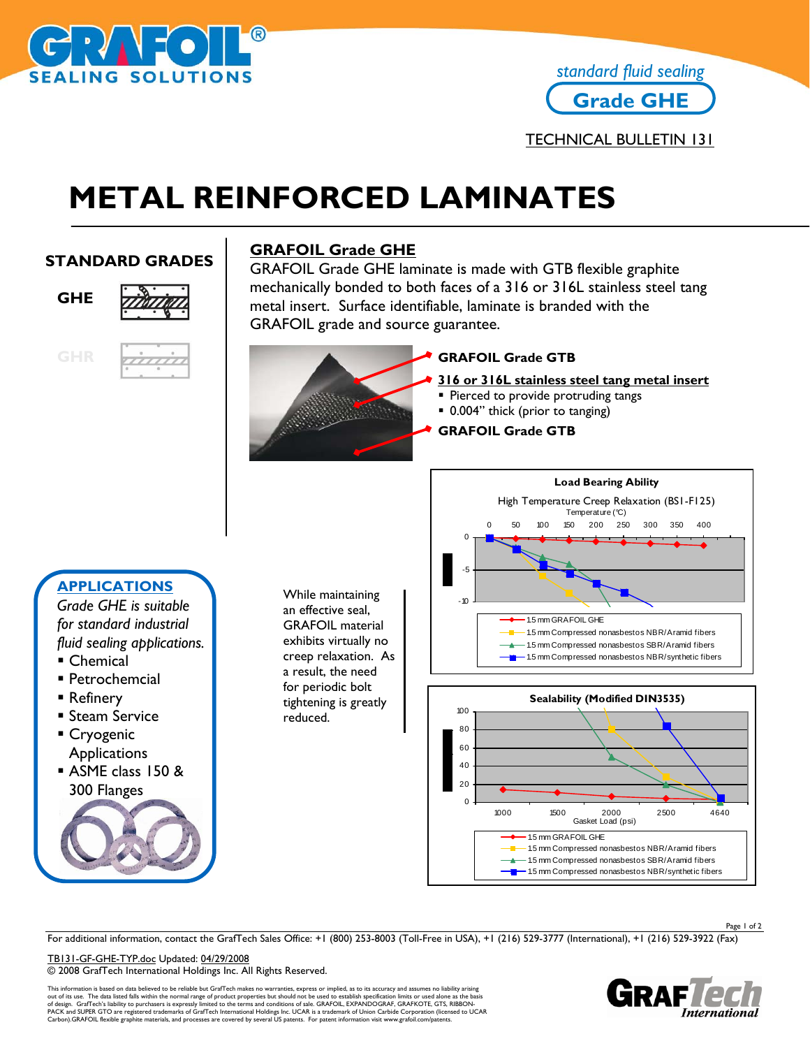

## **Grade GHE** *standard fluid sealing*

TECHNICAL BULLETIN 131

# **METAL REINFORCED LAMINATES**

### **STANDARD GRADES**



#### **GRAFOIL Grade GHE**

GRAFOIL Grade GHE laminate is made with GTB flexible graphite mechanically bonded to both faces of a 316 or 316L stainless steel tang metal insert. Surface identifiable, laminate is branded with the GRAFOIL grade and source guarantee.



#### **GRAFOIL Grade GTB**

- **316 or 316L stainless steel tang metal insert**
- **Pierced to provide protruding tangs**
- 0.004" thick (prior to tanging)
- **GRAFOIL Grade GTB**



For additional information, contact the GrafTech Sales Office: +1 (800) 253-8003 (Toll-Free in USA), +1 (216) 529-3777 (International), +1 (216) 529-3922 (Fax)

TB131-GF-GHE-TYP.doc Updated: 04/29/2008 © 2008 GrafTech International Holdings Inc. All Rights Reserved.

This information is based on data believed to be reliable but GrafTech makes no warranties, express or implied, as to its accuracy and assumes no liability arising out of its use. The data listed falls within the normal range of product properties but should not be used to establish specification limits or used alone as the basis<br>of design. GrafTech's liability to purchasers is expre



Page 1 of 2